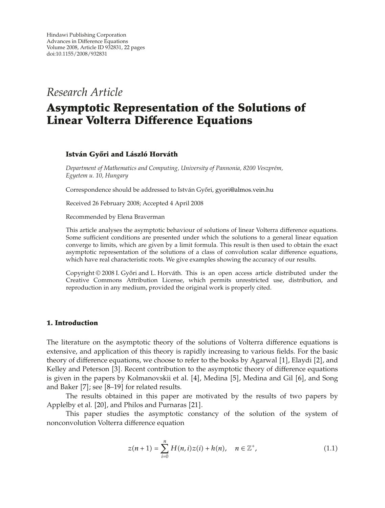*Research Article*

# **Asymptotic Representation of the Solutions of Linear Volterra Difference Equations**

# **István Győri and László Horváth**

*Department of Mathematics and Computing, University of Pannonia, 8200 Veszprem, ´ Egyetem u. 10, Hungary*

Correspondence should be addressed to István Győri, gyori@almos.vein.hu

Received 26 February 2008; Accepted 4 April 2008

Recommended by Elena Braverman

This article analyses the asymptotic behaviour of solutions of linear Volterra difference equations. Some sufficient conditions are presented under which the solutions to a general linear equation converge to limits, which are given by a limit formula. This result is then used to obtain the exact asymptotic representation of the solutions of a class of convolution scalar difference equations, which have real characteristic roots. We give examples showing the accuracy of our results.

Copyright  $\odot$  2008 I. Győri and L. Horváth. This is an open access article distributed under the Creative Commons Attribution License, which permits unrestricted use, distribution, and reproduction in any medium, provided the original work is properly cited.

# **1. Introduction**

The literature on the asymptotic theory of the solutions of Volterra difference equations is extensive, and application of this theory is rapidly increasing to various fields. For the basic theory of difference equations, we choose to refer to the books by Agarwal  $[1]$ , Elaydi  $[2]$ , and Kelley and Peterson [3]. Recent contribution to the asymptotic theory of difference equations is given in the papers by Kolmanovskii et al.  $[4]$ , Medina  $[5]$ , Medina and Gil  $[6]$ , and Song and Baker  $[7]$ ; see  $[8-19]$  for related results.

The results obtained in this paper are motivated by the results of two papers by Applelby et al. [20], and Philos and Purnaras [21].

This paper studies the asymptotic constancy of the solution of the system of nonconvolution Volterra difference equation

$$
z(n+1) = \sum_{i=0}^{n} H(n,i)z(i) + h(n), \quad n \in \mathbb{Z}^{+},
$$
 (1.1)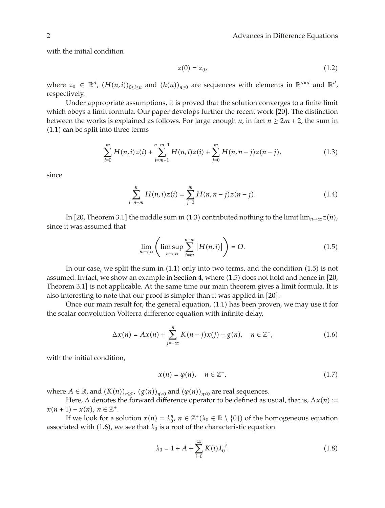with the initial condition

$$
z(0) = z_0,\tag{1.2}
$$

where  $z_0 \in \mathbb{R}^d$ ,  $(H(n,i))_{0 \le i \le n}$  and  $(h(n))_{n \ge 0}$  are sequences with elements in  $\mathbb{R}^{d \times d}$  and  $\mathbb{R}^d$ , respectively.

Under appropriate assumptions, it is proved that the solution converges to a finite limit which obeys a limit formula. Our paper develops further the recent work  $[20]$ . The distinction between the works is explained as follows. For large enough *n*, in fact  $n \ge 2m + 2$ , the sum in  $(1.1)$  can be split into three terms

$$
\sum_{i=0}^{m} H(n,i)z(i) + \sum_{i=m+1}^{n-m-1} H(n,i)z(i) + \sum_{j=0}^{m} H(n,n-j)z(n-j),
$$
\n(1.3)

since

$$
\sum_{i=n-m}^{n} H(n,i)z(i) = \sum_{j=0}^{m} H(n,n-j)z(n-j).
$$
 (1.4)

In [20, Theorem 3.1] the middle sum in (1.3) contributed nothing to the limit lim<sub>*n*→∞</sub>*z*(*n*), since it was assumed that

$$
\lim_{m \to \infty} \left( \limsup_{n \to \infty} \sum_{i=m}^{n-m} |H(n,i)| \right) = O. \tag{1.5}
$$

In our case, we split the sum in  $(1.1)$  only into two terms, and the condition  $(1.5)$  is not assumed. In fact, we show an example in Section 4, where  $(1.5)$  does not hold and hence in  $[20,$ Theorem 3.1 is not applicable. At the same time our main theorem gives a limit formula. It is also interesting to note that our proof is simpler than it was applied in [20].

Once our main result for, the general equation, (1.1) has been proven, we may use it for the scalar convolution Volterra difference equation with infinite delay,

$$
\Delta x(n) = Ax(n) + \sum_{j=-\infty}^{n} K(n-j)x(j) + g(n), \quad n \in \mathbb{Z}^+, \tag{1.6}
$$

with the initial condition,

$$
x(n) = \varphi(n), \quad n \in \mathbb{Z}^-, \tag{1.7}
$$

where  $A \in \mathbb{R}$ , and  $(K(n))_{n \geq 0}$ ,  $(g(n))_{n \geq 0}$  and  $(\varphi(n))_{n \leq 0}$  are real sequences.

Here,  $\Delta$  denotes the forward difference operator to be defined as usual, that is,  $\Delta x(n)$  :=  $x(n+1) - x(n), n \in \mathbb{Z}^+$ .

If we look for a solution  $x(n) = \lambda_0^n$ ,  $n \in \mathbb{Z}^+(\lambda_0 \in \mathbb{R} \setminus \{0\})$  of the homogeneous equation associated with (1.6), we see that  $\lambda_0$  is a root of the characteristic equation

$$
\lambda_0 = 1 + A + \sum_{i=0}^{\infty} K(i) \lambda_0^{-i}.
$$
 (1.8)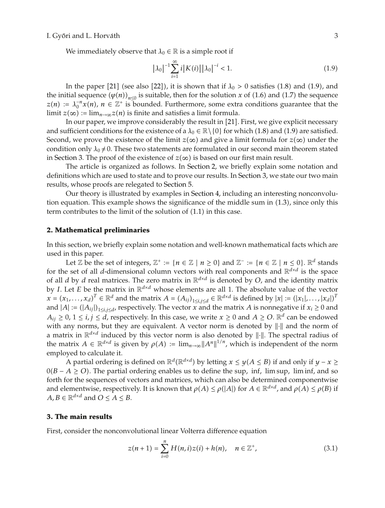We immediately observe that  $\lambda_0 \in \mathbb{R}$  is a simple root if

$$
|\lambda_0|^{-1} \sum_{i=1}^{\infty} i |K(i)| |\lambda_0|^{-i} < 1.
$$
 (1.9)

In the paper [21] (see also [22]), it is shown that if  $\lambda_0 > 0$  satisfies (1.8) and (1.9), and the initial sequence  $(\varphi(n))_{n\leq 0}$  is suitable, then for the solution *x* of (1.6) and (1.7) the sequence  $z(n) := \lambda_0^{-n} x(n)$ ,  $n \in \mathbb{Z}^+$  is bounded. Furthermore, some extra conditions guarantee that the limit  $z(\infty) := \lim_{n \to \infty} z(n)$  is finite and satisfies a limit formula.

In our paper, we improve considerably the result in [21]. First, we give explicit necessary and sufficient conditions for the existence of a  $\lambda_0 \in \mathbb{R} \setminus \{0\}$  for which (1.8) and (1.9) are satisfied. Second, we prove the existence of the limit  $z(\infty)$  and give a limit formula for  $z(\infty)$  under the condition only  $\lambda_0 \neq 0$ . These two statements are formulated in our second main theorem stated in Section 3. The proof of the existence of  $z(\infty)$  is based on our first main result.

The article is organized as follows. In Section 2, we briefly explain some notation and definitions which are used to state and to prove our results. In Section 3, we state our two main results, whose proofs are relegated to Section 5.

Our theory is illustrated by examples in Section 4, including an interesting nonconvolution equation. This example shows the significance of the middle sum in 1.3, since only this term contributes to the limit of the solution of  $(1.1)$  in this case.

#### **2. Mathematical preliminaries**

In this section, we briefly explain some notation and well-known mathematical facts which are used in this paper.

Let  $\mathbb{Z}$  be the set of integers,  $\mathbb{Z}^+ := \{n \in \mathbb{Z} \mid n \geq 0\}$  and  $\mathbb{Z}^- := \{n \in \mathbb{Z} \mid n \leq 0\}$ .  $\mathbb{R}^d$  stands for the set of all *d*-dimensional column vectors with real components and  $\mathbb{R}^{d \times d}$  is the space of all *d* by *d* real matrices. The zero matrix in  $\mathbb{R}^{d \times d}$  is denoted by *O*, and the identity matrix by *I*. Let *E* be the matrix in  $\mathbb{R}^{d \times d}$  whose elements are all 1. The absolute value of the vector  $x = (x_1, \ldots, x_d)^T \in \mathbb{R}^d$  and the matrix  $A = (A_{ij})_{1 \le i,j \le d} \in \mathbb{R}^{d \times d}$  is defined by  $|x| := (|x_1|, \ldots, |x_d|)^T$ and  $|A| := (|A_{ij}|)_{1 \le i,j \le d}$ , respectively. The vector *x* and the matrix *A* is nonnegative if  $x_i \ge 0$  and *A*<sub>ij</sub> ≥ 0, 1 ≤ *i*, *j* ≤ *d*, respectively. In this case, we write  $x$  ≥ 0 and  $A$  ≥ *O*.  $\mathbb{R}^d$  can be endowed with any norms, but they are equivalent. A vector norm is denoted by  $\|\cdot\|$  and the norm of a matrix in  $\mathbb{R}^{d \times d}$  induced by this vector norm is also denoted by  $\|\cdot\|$ . The spectral radius of the matrix  $A \in \mathbb{R}^{d \times d}$  is given by  $\rho(A) := \lim_{n \to \infty} ||A^n||^{1/n}$ , which is independent of the norm employed to calculate it.

A partial ordering is defined on  $\mathbb{R}^d(\mathbb{R}^{d \times d})$  by letting  $x \leq y(A \leq B)$  if and only if  $y - x \geq 0$ 0*B* − *A* ≥ *O*. The partial ordering enables us to define the sup*,* inf*,* lim sup*,* lim inf, and so forth for the sequences of vectors and matrices, which can also be determined componentwise and elementwise, respectively. It is known that  $\rho(A) \leq \rho(|A|)$  for  $A \in \mathbb{R}^{d \times d}$ , and  $\rho(A) \leq \rho(B)$  if  $A, B \in \mathbb{R}^{d \times d}$  and  $O \leq A \leq B$ .

# **3. The main results**

First, consider the nonconvolutional linear Volterra difference equation

$$
z(n+1) = \sum_{i=0}^{n} H(n,i)z(i) + h(n), \quad n \in \mathbb{Z}^{+},
$$
 (3.1)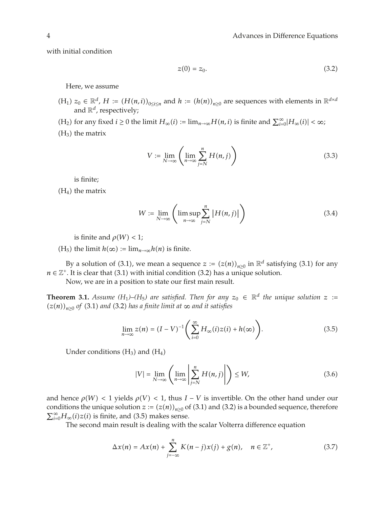with initial condition

$$
z(0) = z_0. \tag{3.2}
$$

Here, we assume

- $(H_1)$   $z_0 \in \mathbb{R}^d$ ,  $H := (H(n,i))_{0 \le i \le n}$  and  $h := (h(n))_{n \ge 0}$  are sequences with elements in  $\mathbb{R}^{d \times d}$ and  $\mathbb{R}^d$ , respectively;
- $(H_2)$  for any fixed  $i \ge 0$  the limit  $H_\infty(i) := \lim_{n \to \infty} H(n, i)$  is finite and  $\sum_{i=0}^{\infty} |H_\infty(i)| < \infty$ ;
- $(H_3)$  the matrix

$$
V := \lim_{N \to \infty} \left( \lim_{n \to \infty} \sum_{j=N}^{n} H(n, j) \right)
$$
 (3.3)

is finite;

 $(H_4)$  the matrix

$$
W := \lim_{N \to \infty} \left( \limsup_{n \to \infty} \sum_{j=N}^{n} |H(n,j)| \right) \tag{3.4}
$$

is finite and  $\rho(W) < 1$ ;

 $(H_5)$  the limit  $h(\infty) := \lim_{n \to \infty} h(n)$  is finite.

By a solution of (3.1), we mean a sequence  $z := (z(n))_{n \geq 0}$  in  $\mathbb{R}^d$  satisfying (3.1) for any  $n \in \mathbb{Z}^+$ . It is clear that (3.1) with initial condition (3.2) has a unique solution.

Now, we are in a position to state our first main result.

**Theorem 3.1.** *Assume* (H<sub>1</sub>)–(H<sub>5</sub>) are satisfied. Then for any  $z_0 \in \mathbb{R}^d$  the unique solution  $z :=$  $(z(n))_{n>0}$  of (3.1) and (3.2) has a finite limit at  $\infty$  and it satisfies

$$
\lim_{n \to \infty} z(n) = (I - V)^{-1} \left( \sum_{i=0}^{\infty} H_{\infty}(i) z(i) + h(\infty) \right).
$$
 (3.5)

Under conditions  $(H_3)$  and  $(H_4)$ 

$$
|V| = \lim_{N \to \infty} \left( \lim_{n \to \infty} \left| \sum_{j=N}^{n} H(n,j) \right| \right) \le W,\tag{3.6}
$$

and hence  $\rho(W)$  < 1 yields  $\rho(V)$  < 1, thus  $I - V$  is invertible. On the other hand under our conditions the unique solution  $z := (z(n))_{n>0}$  of (3.1) and (3.2) is a bounded sequence, therefore  $\sum_{i=0}^{\infty} H_{\infty}(i) z(i)$  is finite, and (3.5) makes sense.

The second main result is dealing with the scalar Volterra difference equation

$$
\Delta x(n) = Ax(n) + \sum_{j=-\infty}^{n} K(n-j)x(j) + g(n), \quad n \in \mathbb{Z}^+, \tag{3.7}
$$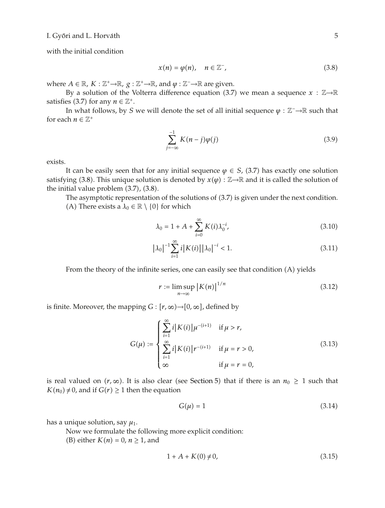with the initial condition

$$
x(n) = \varphi(n), \quad n \in \mathbb{Z}^-, \tag{3.8}
$$

where *A* ∈ ℝ*, K* :  $\mathbb{Z}^+$ →ℝ*, g* :  $\mathbb{Z}^+$ →ℝ*,* and  $\varphi$  :  $\mathbb{Z}^-$ →ℝ are given.

By a solution of the Volterra difference equation (3.7) we mean a sequence  $x : \mathbb{Z} \rightarrow \mathbb{R}$ satisfies (3.7) for any  $n \in \mathbb{Z}^+$ .

In what follows, by *S* we will denote the set of all initial sequence *φ* :  $\mathbb{Z}^- \rightarrow \mathbb{R}$  such that for each  $n \in \mathbb{Z}^+$ 

$$
\sum_{j=-\infty}^{-1} K(n-j)\varphi(j) \tag{3.9}
$$

exists.

It can be easily seen that for any initial sequence  $\varphi \in S$ , (3.7) has exactly one solution satisfying (3.8). This unique solution is denoted by  $x(\varphi) : \mathbb{Z} \to \mathbb{R}$  and it is called the solution of the initial value problem  $(3.7)$ ,  $(3.8)$ .

The asymptotic representation of the solutions of  $(3.7)$  is given under the next condition.

(A) There exists a  $\lambda_0 \in \mathbb{R} \setminus \{0\}$  for which

$$
\lambda_0 = 1 + A + \sum_{i=0}^{\infty} K(i) \lambda_0^{-i}, \tag{3.10}
$$

$$
|\lambda_0|^{-1} \sum_{i=1}^{\infty} i |K(i)| |\lambda_0|^{-i} < 1.
$$
 (3.11)

From the theory of the infinite series, one can easily see that condition (A) yields

$$
r := \limsup_{n \to \infty} |K(n)|^{1/n}
$$
\n(3.12)

is finite. Moreover, the mapping  $G : [r, \infty) \rightarrow [0, \infty]$ , defined by

$$
G(\mu) := \begin{cases} \sum_{i=1}^{\infty} i |K(i)| \mu^{-(i+1)} & \text{if } \mu > r, \\ \sum_{i=1}^{\infty} i |K(i)| r^{-(i+1)} & \text{if } \mu = r > 0, \\ \infty & \text{if } \mu = r = 0, \end{cases}
$$
(3.13)

is real valued on  $(r, \infty)$ . It is also clear (see Section 5) that if there is an  $n_0 \geq 1$  such that  $K(n_0) \neq 0$ , and if  $G(r) \geq 1$  then the equation

$$
G(\mu) = 1 \tag{3.14}
$$

has a unique solution, say  $\mu_1$ .

Now we formulate the following more explicit condition:

(B) either  $K(n) = 0$ ,  $n \ge 1$ , and

$$
1 + A + K(0) \neq 0,\tag{3.15}
$$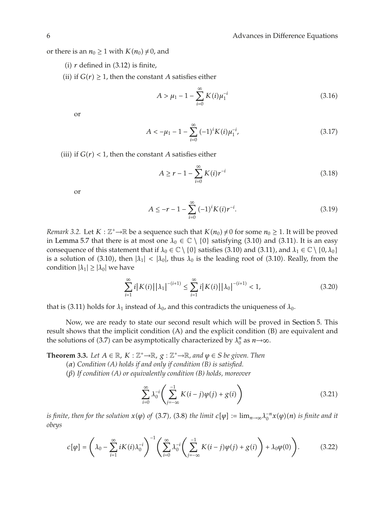or there is an  $n_0 \geq 1$  with  $K(n_0) \neq 0$ , and

(i)  $r$  defined in  $(3.12)$  is finite,

(ii) if  $G(r) \geq 1$ , then the constant *A* satisfies either

$$
A > \mu_1 - 1 - \sum_{i=0}^{\infty} K(i)\mu_1^{-i}
$$
 (3.16)

or

$$
A < -\mu_1 - 1 - \sum_{i=0}^{\infty} (-1)^i K(i) \mu_1^{-i}, \tag{3.17}
$$

(iii) if  $G(r) < 1$ , then the constant *A* satisfies either

$$
A \ge r - 1 - \sum_{i=0}^{\infty} K(i) r^{-i}
$$
 (3.18)

or

$$
A \le -r - 1 - \sum_{i=0}^{\infty} (-1)^i K(i) r^{-i}.
$$
 (3.19)

*Remark 3.2.* Let  $K : \mathbb{Z}^+ \to \mathbb{R}$  be a sequence such that  $K(n_0) \neq 0$  for some  $n_0 \geq 1$ . It will be proved in Lemma 5.7 that there is at most one  $\lambda_0 \in \mathbb{C} \setminus \{0\}$  satisfying (3.10) and (3.11). It is an easy consequence of this statement that if  $\lambda_0 \in \mathbb{C} \setminus \{0\}$  satisfies (3.10) and (3.11), and  $\lambda_1 \in \mathbb{C} \setminus \{0, \lambda_0\}$ is a solution of (3.10), then  $|\lambda_1|$  <  $|\lambda_0|$ , thus  $\lambda_0$  is the leading root of (3.10). Really, from the condition  $|\lambda_1| \geq |\lambda_0|$  we have

$$
\sum_{i=1}^{\infty} i |K(i)| |\lambda_1|^{-(i+1)} \le \sum_{i=1}^{\infty} i |K(i)| |\lambda_0|^{-(i+1)} < 1,
$$
\n(3.20)

that is (3.11) holds for  $\lambda_1$  instead of  $\lambda_0$ , and this contradicts the uniqueness of  $\lambda_0$ .

Now, we are ready to state our second result which will be proved in Section 5. This result shows that the implicit condition  $(A)$  and the explicit condition  $(B)$  are equivalent and the solutions of (3.7) can be asymptotically characterized by  $\lambda_0^n$  as  $n \rightarrow \infty$ .

**Theorem 3.3.** *Let*  $A \in \mathbb{R}$ *,*  $K : \mathbb{Z}^+ \rightarrow \mathbb{R}$ *,*  $g : \mathbb{Z}^+ \rightarrow \mathbb{R}$ *, and*  $\varphi \in S$  *be given. Then* 

*α Condition (A) holds if and only if condition (B) is satisfied.*

*β If condition (A) or equivalently condition (B) holds, moreover*

$$
\sum_{i=0}^{\infty} \lambda_0^{-i} \left( \sum_{j=-\infty}^{-1} K(i-j)\varphi(j) + g(i) \right) \tag{3.21}
$$

*is finite, then for the solution*  $x(\varphi)$  *of* (3.7), (3.8) the limit  $c[\varphi] := \lim_{n\to\infty} \lambda_0^{-n} x(\varphi)(n)$  is finite and it *obeys*

$$
c[\varphi] = \left(\lambda_0 - \sum_{i=1}^{\infty} iK(i)\lambda_0^{-i}\right)^{-1} \left(\sum_{i=0}^{\infty} \lambda_0^{-i} \left(\sum_{j=-\infty}^{-1} K(i-j)\varphi(j) + g(i)\right) + \lambda_0\varphi(0)\right). \tag{3.22}
$$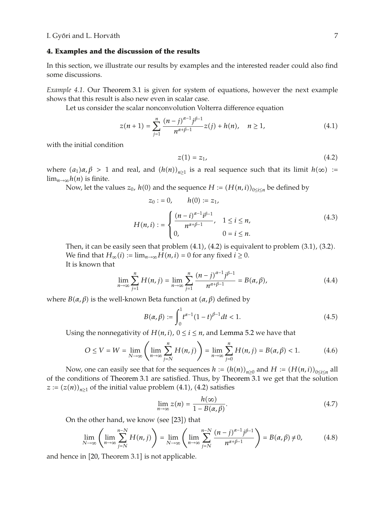#### **4. Examples and the discussion of the results**

In this section, we illustrate our results by examples and the interested reader could also find some discussions.

*Example 4.1.* Our Theorem 3.1 is given for system of equations, however the next example shows that this result is also new even in scalar case.

Let us consider the scalar nonconvolution Volterra difference equation

$$
z(n+1) = \sum_{j=1}^{n} \frac{(n-j)^{\alpha-1}j^{\beta-1}}{n^{\alpha+\beta-1}} z(j) + h(n), \quad n \ge 1,
$$
 (4.1)

with the initial condition

$$
z(1) = z_1,\tag{4.2}
$$

where  $(a_1)a, \beta > 1$  and real, and  $(h(n))_{n \geq 1}$  is a real sequence such that its limit  $h(\infty) :=$  $\lim_{n\to\infty}$ *h*(*n*) is finite.

Now, let the values  $z_0$ ,  $h(0)$  and the sequence  $H := (H(n, i))_{0 \le i \le n}$  be defined by

$$
z_0 := 0, \t h(0) := z_1,
$$
  
\n
$$
H(n, i) := \begin{cases} \frac{(n - i)^{\alpha - 1} i^{\beta - 1}}{n^{\alpha + \beta - 1}}, & 1 \le i \le n, \\ 0, & 0 = i \le n. \end{cases}
$$
\n(4.3)

Then, it can be easily seen that problem  $(4.1)$ ,  $(4.2)$  is equivalent to problem  $(3.1)$ ,  $(3.2)$ . We find that  $H_{\infty}(i) := \lim_{n \to \infty} H(n, i) = 0$  for any fixed  $i \ge 0$ . It is known that

$$
\lim_{n \to \infty} \sum_{j=1}^{n} H(n, j) = \lim_{n \to \infty} \sum_{j=1}^{n} \frac{(n-j)^{\alpha-1} j^{\beta-1}}{n^{\alpha+\beta-1}} = B(\alpha, \beta), \tag{4.4}
$$

where *B*( $\alpha$ , $\beta$ ) is the well-known Beta function at ( $\alpha$ , $\beta$ ) defined by

$$
B(\alpha, \beta) := \int_0^1 t^{\alpha - 1} (1 - t)^{\beta - 1} dt < 1.
$$
 (4.5)

Using the nonnegativity of  $H(n, i)$ ,  $0 \le i \le n$ , and Lemma 5.2 we have that

$$
O \le V = W = \lim_{N \to \infty} \left( \lim_{n \to \infty} \sum_{j=N}^{n} H(n,j) \right) = \lim_{n \to \infty} \sum_{j=0}^{n} H(n,j) = B(\alpha, \beta) < 1. \tag{4.6}
$$

Now, one can easily see that for the sequences  $h := (h(n))_{n\geq 0}$  and  $H := (H(n, i))_{0 \leq i \leq n}$  all of the conditions of Theorem 3.1 are satisfied. Thus, by Theorem 3.1 we get that the solution *z* :=  $(z(n))_{n\geq 1}$  of the initial value problem (4.1), (4.2) satisfies

$$
\lim_{n \to \infty} z(n) = \frac{h(\infty)}{1 - B(\alpha, \beta)}.
$$
\n(4.7)

On the other hand, we know (see  $[23]$ ) that

$$
\lim_{N \to \infty} \left( \lim_{n \to \infty} \sum_{j=N}^{n-N} H(n,j) \right) = \lim_{N \to \infty} \left( \lim_{n \to \infty} \sum_{j=N}^{n-N} \frac{(n-j)^{\alpha-1} j^{\beta-1}}{n^{\alpha+\beta-1}} \right) = B(\alpha, \beta) \neq 0,
$$
\n(4.8)

and hence in  $[20,$  Theorem 3.1] is not applicable.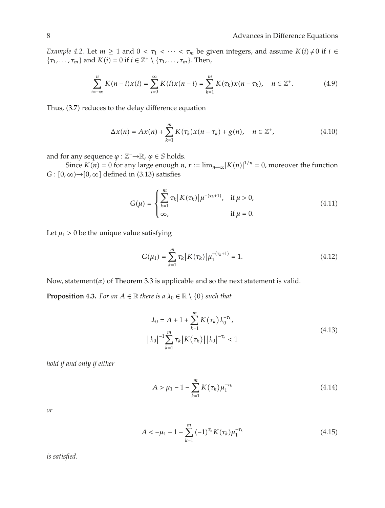*Example 4.2.* Let  $m \ge 1$  and  $0 < \tau_1 < \cdots < \tau_m$  be given integers, and assume  $K(i) \ne 0$  if  $i \in$  $\{\tau_1, \ldots, \tau_m\}$  and  $K(i) = 0$  if  $i \in \mathbb{Z}^+ \setminus \{\tau_1, \ldots, \tau_m\}$ . Then,

$$
\sum_{i=-\infty}^{n} K(n-i)x(i) = \sum_{i=0}^{\infty} K(i)x(n-i) = \sum_{k=1}^{m} K(\tau_k)x(n-\tau_k), \quad n \in \mathbb{Z}^+.
$$
 (4.9)

Thus, (3.7) reduces to the delay difference equation

$$
\Delta x(n) = Ax(n) + \sum_{k=1}^{m} K(\tau_k) x(n - \tau_k) + g(n), \quad n \in \mathbb{Z}^+, \tag{4.10}
$$

and for any sequence  $\varphi : \mathbb{Z}^- \to \mathbb{R}$ ,  $\varphi \in S$  holds.

Since  $K(n) = 0$  for any large enough  $n, r := \lim_{n \to \infty} |K(n)|^{1/n} = 0$ , moreover the function  $G : [0, \infty) \rightarrow [0, \infty]$  defined in (3.13) satisfies

$$
G(\mu) = \begin{cases} \sum_{k=1}^{m} \tau_k |K(\tau_k)| \mu^{-(\tau_k+1)}, & \text{if } \mu > 0, \\ \infty, & \text{if } \mu = 0. \end{cases}
$$
 (4.11)

Let  $\mu_1 > 0$  be the unique value satisfying

$$
G(\mu_1) = \sum_{k=1}^{m} \tau_k |K(\tau_k)| \mu_1^{-(\tau_k+1)} = 1.
$$
 (4.12)

Now, statement $(a)$  of Theorem 3.3 is applicable and so the next statement is valid.

**Proposition 4.3.** *For an*  $A \in \mathbb{R}$  *there is a*  $\lambda_0 \in \mathbb{R} \setminus \{0\}$  *such that* 

$$
\lambda_0 = A + 1 + \sum_{k=1}^{m} K(\tau_k) \lambda_0^{-\tau_k},
$$
  

$$
|\lambda_0|^{-1} \sum_{k=1}^{m} \tau_k |K(\tau_k)| |\lambda_0|^{-\tau_k} < 1
$$
 (4.13)

*hold if and only if either*

$$
A > \mu_1 - 1 - \sum_{k=1}^{m} K(\tau_k) \mu_1^{-\tau_k}
$$
\n(4.14)

*or*

$$
A < -\mu_1 - 1 - \sum_{k=1}^{m} (-1)^{\tau_k} K(\tau_k) \mu_1^{-\tau_k}
$$
\n(4.15)

*is satisfied.*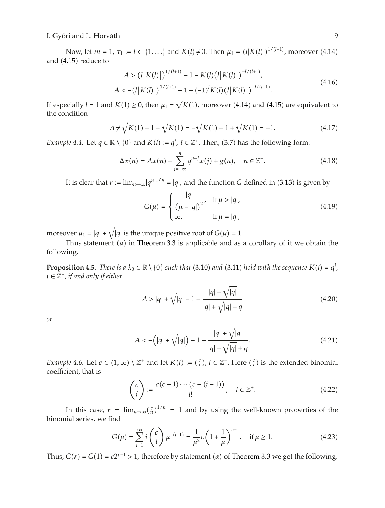I. Győri and L. Horváth  $\overline{9}$ 

Now, let  $m = 1$ ,  $\tau_1 := l \in \{1, ...\}$  and  $K(l) \neq 0$ . Then  $\mu_1 = (l|K(l)|)^{1/(l+1)}$ , moreover (4.14) and  $(4.15)$  reduce to

$$
A > (l|K(l)|)^{1/(l+1)} - 1 - K(l)(l|K(l)|)^{-l/(l+1)},
$$
  

$$
A < -(l|K(l)|)^{1/(l+1)} - 1 - (-1)^l K(l)(l|K(l)|)^{-l/(l+1)}.
$$
 (4.16)

If especially  $l = 1$  and  $K(1) \geq 0$ , then  $\mu_1 = \sqrt{K(1)}$ , moreover (4.14) and (4.15) are equivalent to the condition

$$
A \neq \sqrt{K(1)} - 1 - \sqrt{K(1)} = -\sqrt{K(1)} - 1 + \sqrt{K(1)} = -1.
$$
 (4.17)

*Example 4.4.* Let  $q \in \mathbb{R} \setminus \{0\}$  and  $K(i) := q^i$ ,  $i \in \mathbb{Z}^+$ . Then, (3.7) has the following form:

$$
\Delta x(n) = Ax(n) + \sum_{j=-\infty}^{n} q^{n-j} x(j) + g(n), \quad n \in \mathbb{Z}^{+}.
$$
 (4.18)

It is clear that  $r := \lim_{n \to \infty} |q^n|^{1/n} = |q|$ , and the function *G* defined in (3.13) is given by

$$
G(\mu) = \begin{cases} \frac{|q|}{(\mu - |q|)^2}, & \text{if } \mu > |q|, \\ \infty, & \text{if } \mu = |q|, \end{cases}
$$
(4.19)

moreover  $\mu_1 = |q| + \sqrt{|q|}$  is the unique positive root of  $G(\mu) = 1$ .

Thus statement  $(\alpha)$  in Theorem 3.3 is applicable and as a corollary of it we obtain the following.

**Proposition 4.5.** *There is a*  $\lambda_0 \in \mathbb{R} \setminus \{0\}$  *such that* (3.10) *and* (3.11) *hold with the sequence*  $K(i) = q^i$ ,  $i \in \mathbb{Z}^+$ , if and only if either

$$
A > |q| + \sqrt{|q|} - 1 - \frac{|q| + \sqrt{|q|}}{|q| + \sqrt{|q|} - q}
$$
\n(4.20)

*or*

$$
A < -\left(|q| + \sqrt{|q|}\right) - 1 - \frac{|q| + \sqrt{|q|}}{|q| + \sqrt{|q|} + q}.\tag{4.21}
$$

*Example 4.6.* Let  $c \in (1, \infty) \setminus \mathbb{Z}^+$  and let  $K(i) := {c \choose i}$ ,  $i \in \mathbb{Z}^+$ . Here  ${c \choose i}$  is the extended binomial coefficient, that is

$$
\begin{pmatrix} c \\ i \end{pmatrix} := \frac{c(c-1)\cdots(c-(i-1))}{i!}, \quad i \in \mathbb{Z}^+.
$$
 (4.22)

In this case,  $r = \lim_{n \to \infty} \left(\frac{c}{n}\right)^{1/n} = 1$  and by using the well-known properties of the binomial series, we find

$$
G(\mu) = \sum_{i=1}^{\infty} i \binom{c}{i} \mu^{-(i+1)} = \frac{1}{\mu^2} c \left( 1 + \frac{1}{\mu} \right)^{c-1}, \quad \text{if } \mu \ge 1.
$$
 (4.23)

Thus,  $G(r) = G(1) = c2^{c-1} > 1$ , therefore by statement *(a)* of Theorem 3.3 we get the following.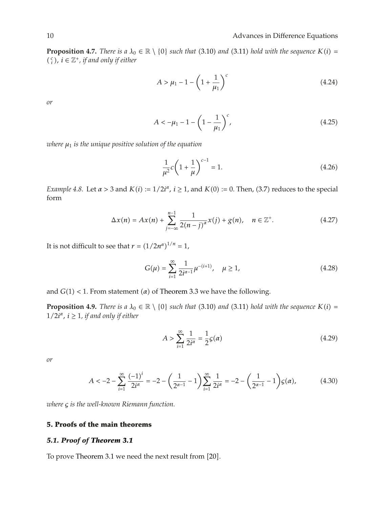**Proposition 4.7.** *There is a*  $\lambda_0 \in \mathbb{R} \setminus \{0\}$  *such that* (3.10) *and* (3.11) *hold with the sequence*  $K(i) =$  $\binom{c}{i}$ ,  $i \in \mathbb{Z}^+$ , *if and only if either* 

$$
A > \mu_1 - 1 - \left(1 + \frac{1}{\mu_1}\right)^c \tag{4.24}
$$

*or*

$$
A < -\mu_1 - 1 - \left(1 - \frac{1}{\mu_1}\right)^c,\tag{4.25}
$$

*where μ*<sup>1</sup> *is the unique positive solution of the equation*

$$
\frac{1}{\mu^2}c\left(1+\frac{1}{\mu}\right)^{c-1} = 1.
$$
\n(4.26)

*Example 4.8.* Let  $\alpha > 3$  and  $K(i) := 1/2i^{\alpha}, i \ge 1$ , and  $K(0) := 0$ . Then, (3.7) reduces to the special form

$$
\Delta x(n) = Ax(n) + \sum_{j=-\infty}^{n-1} \frac{1}{2(n-j)^{\alpha}} x(j) + g(n), \quad n \in \mathbb{Z}^+.
$$
 (4.27)

It is not difficult to see that  $r = (1/2n^{\alpha})^{1/n} = 1$ ,

$$
G(\mu) = \sum_{i=1}^{\infty} \frac{1}{2i^{\alpha - 1}} \mu^{-(i+1)}, \quad \mu \ge 1,
$$
\n(4.28)

and  $G(1)$  < 1. From statement ( $\alpha$ ) of Theorem 3.3 we have the following.

**Proposition 4.9.** *There is a*  $\lambda_0 \in \mathbb{R} \setminus \{0\}$  *such that* (3.10) *and* (3.11) *hold with the sequence*  $K(i) =$  $1/2i^{\alpha}$ ,  $i \geq 1$ , *if and only if either* 

$$
A > \sum_{i=1}^{\infty} \frac{1}{2i^{\alpha}} = \frac{1}{2} \mathcal{G}(\alpha)
$$
 (4.29)

*or*

$$
A < -2 - \sum_{i=1}^{\infty} \frac{(-1)^i}{2i^{\alpha}} = -2 - \left(\frac{1}{2^{\alpha-1}} - 1\right) \sum_{i=1}^{\infty} \frac{1}{2i^{\alpha}} = -2 - \left(\frac{1}{2^{\alpha-1}} - 1\right) \mathcal{G}(\alpha),\tag{4.30}
$$

*where ς is the well-known Riemann function.*

# **5. Proofs of the main theorems**

# *5.1. Proof of Theorem 3.1*

To prove Theorem 3.1 we need the next result from [20].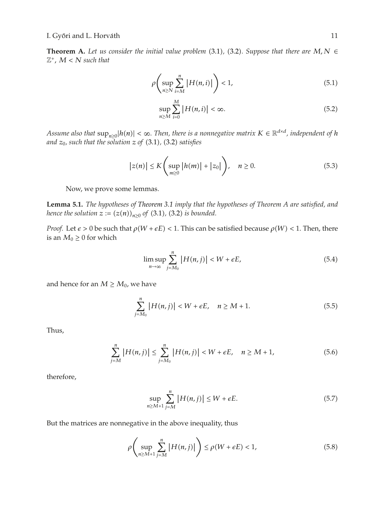**Theorem A.** Let us consider the initial value problem (3.1), (3.2). Suppose that there are  $M, N \in$  $\mathbb{Z}^+$ ,  $M < N$  *such that* 

$$
\rho\left(\sup_{n\geq N}\sum_{i=M}^{n}|H(n,i)|\right) < 1,\tag{5.1}
$$

$$
\sup_{n\geq M}\sum_{i=0}^{M}|H(n,i)|<\infty.\tag{5.2}
$$

*Assume also that*  $\sup_{n\geq 0}$   $|h(n)| < \infty$ *. Then, there is a nonnegative matrix*  $K \in \mathbb{R}^{d \times d}$ *, independent of*  $h$ and  $z_0$ , such that the solution  $z$  of  $(3.1)$ ,  $(3.2)$  satisfies

$$
|z(n)| \le K \left(\sup_{m\ge 0} |h(m)| + |z_0|\right), \quad n \ge 0. \tag{5.3}
$$

Now, we prove some lemmas.

**Lemma 5.1.** *The hypotheses of Theorem 3.1 imply that the hypotheses of Theorem A are satisfied, and hence the solution*  $z := (z(n))_{n \geq 0}$  *of* (3.1), (3.2) *is bounded.* 

*Proof.* Let  $\epsilon > 0$  be such that  $\rho(W + \epsilon E) < 1$ . This can be satisfied because  $\rho(W) < 1$ . Then, there is an  $M_0 \geq 0$  for which

$$
\limsup_{n \to \infty} \sum_{j=M_0}^{n} |H(n,j)| < W + \epsilon E,\tag{5.4}
$$

and hence for an  $M \geq M_0$ , we have

$$
\sum_{j=M_0}^{n} |H(n,j)| < W + \epsilon E, \quad n \ge M + 1. \tag{5.5}
$$

Thus,

$$
\sum_{j=M}^{n} |H(n,j)| \leq \sum_{j=M_0}^{n} |H(n,j)| < W + \epsilon E, \quad n \geq M + 1,\tag{5.6}
$$

therefore,

$$
\sup_{n\geq M+1} \sum_{j=M}^{n} |H(n,j)| \leq W + \epsilon E. \tag{5.7}
$$

But the matrices are nonnegative in the above inequality, thus

$$
\rho\left(\sup_{n\geq M+1}\sum_{j=M}^{n}|H(n,j)|\right)\leq\rho(W+\epsilon E)<1,
$$
\n(5.8)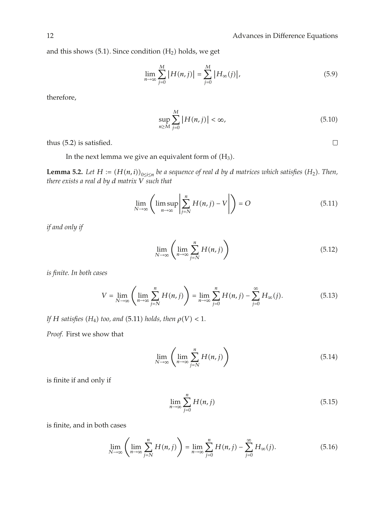and this shows  $(5.1)$ . Since condition  $(H<sub>2</sub>)$  holds, we get

$$
\lim_{n \to \infty} \sum_{j=0}^{M} |H(n,j)| = \sum_{j=0}^{M} |H_{\infty}(j)|,
$$
\n(5.9)

therefore,

$$
\sup_{n\geq M} \sum_{j=0}^{M} |H(n,j)| < \infty,\tag{5.10}
$$

thus  $(5.2)$  is satisfied.

In the next lemma we give an equivalent form of  $(H_3)$ .

**Lemma 5.2.** Let  $H := (H(n, i))_{0 \le i \le n}$  be a sequence of real *d* by *d* matrices which satisfies  $(H_2)$ . Then, *there exists a real d by d matrix V such that*

$$
\lim_{N \to \infty} \left( \limsup_{n \to \infty} \left| \sum_{j=N}^{n} H(n, j) - V \right| \right) = O \tag{5.11}
$$

*if and only if*

$$
\lim_{N \to \infty} \left( \lim_{n \to \infty} \sum_{j=N}^{n} H(n, j) \right) \tag{5.12}
$$

*is finite. In both cases*

$$
V = \lim_{N \to \infty} \left( \lim_{n \to \infty} \sum_{j=N}^{n} H(n,j) \right) = \lim_{n \to \infty} \sum_{j=0}^{n} H(n,j) - \sum_{j=0}^{\infty} H_{\infty}(j).
$$
 (5.13)

*If H satisfies*  $(H_4)$  *too, and*  $(5.11)$  *holds, then*  $\rho(V) < 1$ *.* 

*Proof.* First we show that

$$
\lim_{N \to \infty} \left( \lim_{n \to \infty} \sum_{j=N}^{n} H(n, j) \right) \tag{5.14}
$$

is finite if and only if

$$
\lim_{n \to \infty} \sum_{j=0}^{n} H(n, j) \tag{5.15}
$$

is finite, and in both cases

$$
\lim_{N \to \infty} \left( \lim_{n \to \infty} \sum_{j=N}^{n} H(n,j) \right) = \lim_{n \to \infty} \sum_{j=0}^{n} H(n,j) - \sum_{j=0}^{\infty} H_{\infty}(j).
$$
 (5.16)

 $\Box$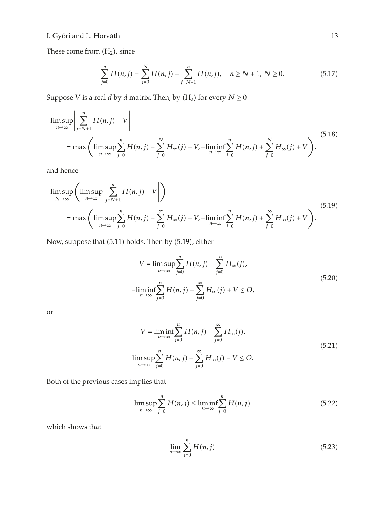These come from  $(H_2)$ , since

$$
\sum_{j=0}^{n} H(n,j) = \sum_{j=0}^{N} H(n,j) + \sum_{j=N+1}^{n} H(n,j), \quad n \ge N+1, N \ge 0.
$$
 (5.17)

Suppose *V* is a real *d* by *d* matrix. Then, by  $(H_2)$  for every  $N \ge 0$ 

$$
\limsup_{n \to \infty} \left| \sum_{j=N+1}^{n} H(n,j) - V \right|
$$
\n
$$
= \max \left( \limsup_{n \to \infty} \sum_{j=0}^{n} H(n,j) - \sum_{j=0}^{N} H_{\infty}(j) - V, -\liminf_{n \to \infty} \sum_{j=0}^{n} H(n,j) + \sum_{j=0}^{N} H_{\infty}(j) + V \right),
$$
\n(5.18)

and hence

$$
\limsup_{N \to \infty} \left( \limsup_{n \to \infty} \left| \sum_{j=N+1}^{n} H(n,j) - V \right| \right)
$$
\n
$$
= \max \left( \limsup_{n \to \infty} \sum_{j=0}^{n} H(n,j) - \sum_{j=0}^{\infty} H_{\infty}(j) - V, -\liminf_{n \to \infty} \sum_{j=0}^{n} H(n,j) + \sum_{j=0}^{\infty} H_{\infty}(j) + V \right).
$$
\n(5.19)

Now, suppose that (5.11) holds. Then by (5.19), either

$$
V = \limsup_{n \to \infty} \sum_{j=0}^{n} H(n, j) - \sum_{j=0}^{\infty} H_{\infty}(j),
$$
  
-
$$
\liminf_{n \to \infty} \sum_{j=0}^{n} H(n, j) + \sum_{j=0}^{\infty} H_{\infty}(j) + V \le O,
$$
 (5.20)

or

$$
V = \liminf_{n \to \infty} \sum_{j=0}^{n} H(n, j) - \sum_{j=0}^{\infty} H_{\infty}(j),
$$
  

$$
\limsup_{n \to \infty} \sum_{j=0}^{n} H(n, j) - \sum_{j=0}^{\infty} H_{\infty}(j) - V \le O.
$$
 (5.21)

Both of the previous cases implies that

$$
\limsup_{n \to \infty} \sum_{j=0}^{n} H(n, j) \le \liminf_{n \to \infty} \sum_{j=0}^{n} H(n, j)
$$
\n(5.22)

which shows that

$$
\lim_{n \to \infty} \sum_{j=0}^{n} H(n, j) \tag{5.23}
$$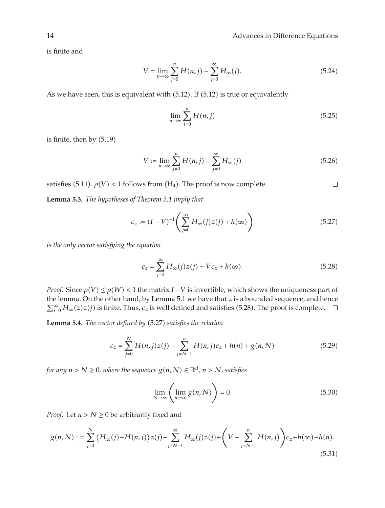is finite and

$$
V = \lim_{n \to \infty} \sum_{j=0}^{n} H(n, j) - \sum_{j=0}^{\infty} H_{\infty}(j).
$$
 (5.24)

As we have seen, this is equivalent with  $(5.12)$ . If  $(5.12)$  is true or equivalently

$$
\lim_{n \to \infty} \sum_{j=0}^{n} H(n, j) \tag{5.25}
$$

is finite, then by  $(5.19)$ 

$$
V := \lim_{n \to \infty} \sum_{j=0}^{n} H(n, j) - \sum_{j=0}^{\infty} H_{\infty}(j)
$$
 (5.26)

satisfies (5.11).  $\rho(V)$  < 1 follows from (H<sub>4</sub>). The proof is now complete.  $\Box$ 

**Lemma 5.3.** *The hypotheses of Theorem 3.1 imply that*

$$
c_z := (I - V)^{-1} \left( \sum_{j=0}^{\infty} H_{\infty}(j) z(j) + h(\infty) \right)
$$
 (5.27)

*is the only vector satisfying the equation*

$$
c_z = \sum_{j=0}^{\infty} H_{\infty}(j)z(j) + Vc_z + h(\infty).
$$
 (5.28)

*Proof.* Since  $\rho(V) \leq \rho(W) < 1$  the matrix *I* − *V* is invertible, which shows the uniqueness part of the lemma. On the other hand, by Lemma 5.1 we have that *z* is a bounded sequence, and hence  $\sum_{j=0}^{\infty} H_{\infty}(z)z(j)$  is finite. Thus,  $c_z$  is well defined and satisfies (5.28). The proof is complete.

Lemma 5.4. *The vector defined by* (5.27) satisfies the relation

$$
c_z = \sum_{j=0}^{N} H(n,j)z(j) + \sum_{j=N+1}^{n} H(n,j)c_z + h(n) + g(n,N)
$$
 (5.29)

*for any*  $n > N \geq 0$ *, where the sequence*  $g(n, N) \in \mathbb{R}^d$ *,*  $n > N$ *, satisfies* 

$$
\lim_{N \to \infty} \left( \lim_{n \to \infty} g(n, N) \right) = 0. \tag{5.30}
$$

*Proof.* Let  $n > N \geq 0$  be arbitrarily fixed and

$$
g(n,N) := \sum_{j=0}^{N} (H_{\infty}(j) - H(n,j))z(j) + \sum_{j=N+1}^{\infty} H_{\infty}(j)z(j) + \left(V - \sum_{j=N+1}^{n} H(n,j)\right)c_{z} + h(\infty) - h(n).
$$
\n(5.31)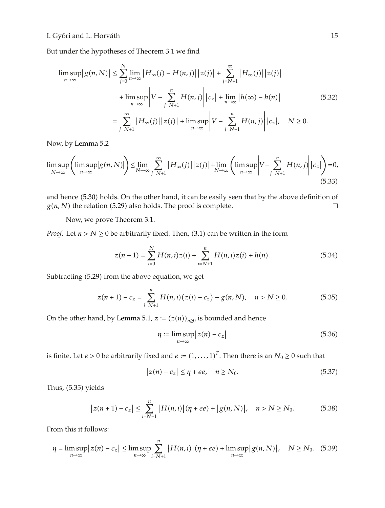But under the hypotheses of Theorem 3.1 we find

$$
\limsup_{n \to \infty} |g(n, N)| \le \sum_{j=0}^{N} \lim_{n \to \infty} |H_{\infty}(j) - H(n, j)| |z(j)| + \sum_{j=N+1}^{\infty} |H_{\infty}(j)| |z(j)|
$$
  
+ 
$$
\limsup_{n \to \infty} \left| V - \sum_{j=N+1}^{n} H(n, j) \right| |c_{z}| + \lim_{n \to \infty} |h(\infty) - h(n)|
$$
  
= 
$$
\sum_{j=N+1}^{\infty} |H_{\infty}(j)| |z(j)| + \limsup_{n \to \infty} \left| V - \sum_{j=N+1}^{n} H(n, j) \right| |c_{z}|, \quad N \ge 0.
$$
 (5.32)

Now, by Lemma 5.2

$$
\limsup_{N \to \infty} \left( \limsup_{n \to \infty} |g(n, N)| \right) \leq \lim_{N \to \infty} \sum_{j=N+1}^{\infty} |H_{\infty}(j)| |z(j)| + \lim_{N \to \infty} \left( \limsup_{n \to \infty} \left| V - \sum_{j=N+1}^{n} H(n, j) \right| |c_{z}| \right) = 0,
$$
\n(5.33)

and hence (5.30) holds. On the other hand, it can be easily seen that by the above definition of  $g(n, N)$  the relation (5.29) also holds. The proof is complete.  $\Box$ 

Now, we prove Theorem 3.1.

*Proof.* Let  $n > N \geq 0$  be arbitrarily fixed. Then, (3.1) can be written in the form

$$
z(n+1) = \sum_{i=0}^{N} H(n,i)z(i) + \sum_{i=N+1}^{n} H(n,i)z(i) + h(n).
$$
 (5.34)

Subtracting (5.29) from the above equation, we get

$$
z(n+1) - c_z = \sum_{i=N+1}^{n} H(n,i) (z(i) - c_z) - g(n,N), \quad n > N \ge 0.
$$
 (5.35)

On the other hand, by Lemma 5.1,  $z := (z(n))_{n \geq 0}$  is bounded and hence

$$
\eta := \limsup_{n \to \infty} |z(n) - c_z| \tag{5.36}
$$

is finite. Let  $\epsilon > 0$  be arbitrarily fixed and  $e := (1, \ldots, 1)^T$ . Then there is an  $N_0 \ge 0$  such that

$$
|z(n) - c_z| \le \eta + \epsilon e, \quad n \ge N_0. \tag{5.37}
$$

Thus,  $(5.35)$  yields

$$
\left| z(n+1) - c_z \right| \leq \sum_{i=N+1}^{n} \left| H(n,i) \right| (\eta + \epsilon e) + \left| g(n,N) \right|, \quad n > N \geq N_0.
$$
 (5.38)

From this it follows:

$$
\eta = \limsup_{n \to \infty} |z(n) - c_z| \le \limsup_{n \to \infty} \sum_{i=N+1}^n |H(n,i)| (\eta + \epsilon e) + \limsup_{n \to \infty} |g(n,N)|, \quad N \ge N_0. \tag{5.39}
$$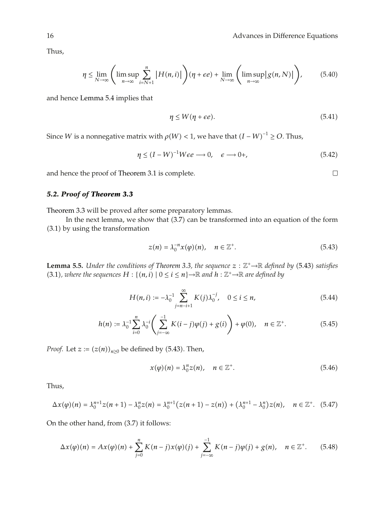Thus,

$$
\eta \leq \lim_{N \to \infty} \left( \limsup_{n \to \infty} \sum_{i=N+1}^{n} |H(n,i)| \right) (\eta + \epsilon e) + \lim_{N \to \infty} \left( \limsup_{n \to \infty} |g(n,N)| \right), \tag{5.40}
$$

and hence Lemma 5.4 implies that

$$
\eta \le W(\eta + \epsilon e). \tag{5.41}
$$

Since *W* is a nonnegative matrix with  $\rho(W) < 1$ , we have that  $(I - W)^{-1} \geq O$ . Thus,

$$
\eta \le (I - W)^{-1} W \epsilon e \longrightarrow 0, \quad \epsilon \longrightarrow 0+, \tag{5.42}
$$

and hence the proof of Theorem 3.1 is complete.

# *5.2. Proof of Theorem 3.3*

Theorem 3.3 will be proved after some preparatory lemmas.

In the next lemma, we show that  $(3.7)$  can be transformed into an equation of the form 3.1 by using the transformation

$$
z(n) = \lambda_0^{-n} x(\varphi)(n), \quad n \in \mathbb{Z}^+.
$$

**Lemma 5.5.** *Under the conditions of Theorem 3.3, the sequence*  $z : \mathbb{Z}^+ \rightarrow \mathbb{R}$  *defined by* (5.43) *satisfies* (3.1), where the sequences  $H : \{(n,i) \mid 0 \le i \le n\} \rightarrow \mathbb{R}$  and  $h : \mathbb{Z}^+ \rightarrow \mathbb{R}$  are defined by

$$
H(n, i) := -\lambda_0^{-1} \sum_{j=n-i+1}^{\infty} K(j) \lambda_0^{-j}, \quad 0 \le i \le n,
$$
\n(5.44)

$$
h(n) := \lambda_0^{-1} \sum_{i=0}^n \lambda_0^{-i} \left( \sum_{j=-\infty}^{-1} K(i-j) \varphi(j) + g(i) \right) + \varphi(0), \quad n \in \mathbb{Z}^+.
$$
 (5.45)

*Proof.* Let  $z := (z(n))_{n \geq 0}$  be defined by (5.43). Then,

$$
x(\varphi)(n) = \lambda_0^n z(n), \quad n \in \mathbb{Z}^+.
$$
 (5.46)

Thus,

$$
\Delta x(\varphi)(n) = \lambda_0^{n+1} z(n+1) - \lambda_0^n z(n) = \lambda_0^{n+1} (z(n+1) - z(n)) + (\lambda_0^{n+1} - \lambda_0^n) z(n), \quad n \in \mathbb{Z}^+.
$$
 (5.47)

On the other hand, from  $(3.7)$  it follows:

$$
\Delta x(\varphi)(n) = Ax(\varphi)(n) + \sum_{j=0}^{n} K(n-j)x(\varphi)(j) + \sum_{j=-\infty}^{-1} K(n-j)\varphi(j) + g(n), \quad n \in \mathbb{Z}^+.
$$
 (5.48)

 $\Box$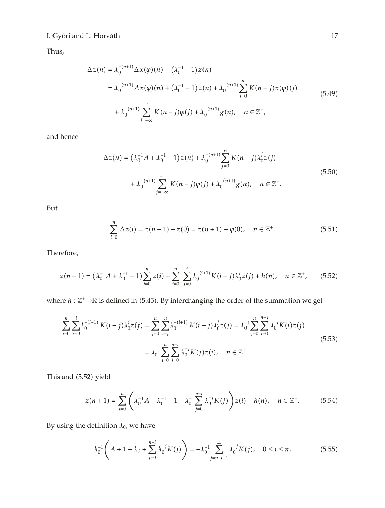Thus,

$$
\Delta z(n) = \lambda_0^{-(n+1)} \Delta x(\varphi)(n) + (\lambda_0^{-1} - 1)z(n)
$$
  
=  $\lambda_0^{-(n+1)} Ax(\varphi)(n) + (\lambda_0^{-1} - 1)z(n) + \lambda_0^{-(n+1)} \sum_{j=0}^n K(n-j)x(\varphi)(j)$   
+  $\lambda_0^{-(n+1)} \sum_{j=-\infty}^{-1} K(n-j)\varphi(j) + \lambda_0^{-(n+1)} g(n), \quad n \in \mathbb{Z}^+,$  (5.49)

and hence

$$
\Delta z(n) = (\lambda_0^{-1} A + \lambda_0^{-1} - 1) z(n) + \lambda_0^{-(n+1)} \sum_{j=0}^n K(n-j) \lambda_0^j z(j)
$$
  
+  $\lambda_0^{-(n+1)} \sum_{j=-\infty}^{-1} K(n-j) \varphi(j) + \lambda_0^{-(n+1)} g(n), \quad n \in \mathbb{Z}^+.$  (5.50)

But

$$
\sum_{i=0}^{n} \Delta z(i) = z(n+1) - z(0) = z(n+1) - \varphi(0), \quad n \in \mathbb{Z}^{+}.
$$
 (5.51)

Therefore,

$$
z(n+1) = (\lambda_0^{-1}A + \lambda_0^{-1} - 1) \sum_{i=0}^{n} z(i) + \sum_{i=0}^{n} \sum_{j=0}^{i} \lambda_0^{-(i+1)} K(i-j) \lambda_0^{j} z(j) + h(n), \quad n \in \mathbb{Z}^{+}, \qquad (5.52)
$$

where  $h : \mathbb{Z}^+ \rightarrow \mathbb{R}$  is defined in (5.45). By interchanging the order of the summation we get

$$
\sum_{i=0}^{n} \sum_{j=0}^{i} \lambda_0^{-(i+1)} K(i-j) \lambda_0^j z(j) = \sum_{j=0}^{n} \sum_{i=j}^{n} \lambda_0^{-(i+1)} K(i-j) \lambda_0^j z(j) = \lambda_0^{-1} \sum_{j=0}^{n} \sum_{i=0}^{n-j} \lambda_0^{-i} K(i) z(j)
$$
  
=  $\lambda_0^{-1} \sum_{i=0}^{n} \sum_{j=0}^{n-i} \lambda_0^{-j} K(j) z(i), \quad n \in \mathbb{Z}^+.$  (5.53)

This and (5.52) yield

$$
z(n+1) = \sum_{i=0}^{n} \left( \lambda_0^{-1} A + \lambda_0^{-1} - 1 + \lambda_0^{-1} \sum_{j=0}^{n-i} \lambda_0^{-j} K(j) \right) z(i) + h(n), \quad n \in \mathbb{Z}^+.
$$
 (5.54)

By using the definition  $\lambda_0$ , we have

$$
\lambda_0^{-1}\left(A+1-\lambda_0+\sum_{j=0}^{n-i}\lambda_0^{-j}K(j)\right)=-\lambda_0^{-1}\sum_{j=n-i+1}^{\infty}\lambda_0^{-j}K(j),\quad 0\leq i\leq n,\tag{5.55}
$$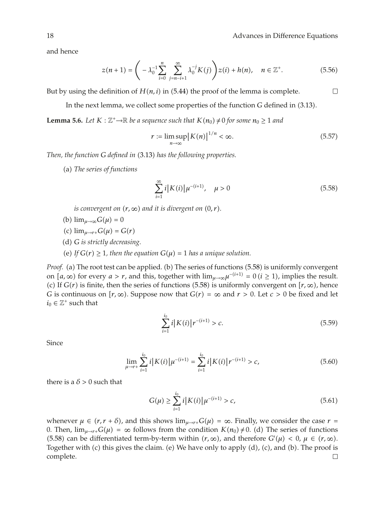$\Box$ 

and hence

$$
z(n+1) = \left(-\lambda_0^{-1} \sum_{i=0}^n \sum_{j=n-i+1}^\infty \lambda_0^{-j} K(j)\right) z(i) + h(n), \quad n \in \mathbb{Z}^+.
$$
 (5.56)

But by using the definition of  $H(n, i)$  in (5.44) the proof of the lemma is complete.

In the next lemma, we collect some properties of the function *G* defined in  $(3.13)$ .

**Lemma 5.6.** *Let*  $K : \mathbb{Z}^+ \to \mathbb{R}$  *be a sequence such that*  $K(n_0) \neq 0$  *for some*  $n_0 \geq 1$  *and* 

$$
r := \limsup_{n \to \infty} |K(n)|^{1/n} < \infty. \tag{5.57}
$$

*Then, the function G defined in* (3.13) has the following properties.

a *The series of functions*

$$
\sum_{i=1}^{\infty} i |K(i)| \mu^{-(i+1)}, \quad \mu > 0 \tag{5.58}
$$

*is convergent on*  $(r, \infty)$  *and it is divergent on*  $(0, r)$ *.* 

- (b)  $\lim_{\mu \to \infty} G(\mu) = 0$
- $(c)$   $\lim_{\mu \to r+} G(\mu) = G(r)$
- d *G is strictly decreasing.*
- (e) If  $G(r) \geq 1$ , then the equation  $G(\mu) = 1$  has a unique solution.

*Proof.* (a) The root test can be applied. (b) The series of functions (5.58) is uniformly convergent on  $[a, \infty)$  for every  $a > r$ , and this, together with  $\lim_{\mu \to \infty} \mu^{-(i+1)} = 0$   $(i \ge 1)$ , implies the result. (c) If  $G(r)$  is finite, then the series of functions (5.58) is uniformly convergent on  $[r, \infty)$ , hence *G* is continuous on  $[r, \infty)$ . Suppose now that  $G(r) = \infty$  and  $r > 0$ . Let  $c > 0$  be fixed and let  $i_0 \in \mathbb{Z}^+$  such that

$$
\sum_{i=1}^{i_0} i |K(i)| r^{-(i+1)} > c. \tag{5.59}
$$

Since

$$
\lim_{\mu \to r+} \sum_{i=1}^{i_0} i |K(i)| \mu^{-(i+1)} = \sum_{i=1}^{i_0} i |K(i)| r^{-(i+1)} > c,\tag{5.60}
$$

there is a  $\delta$  > 0 such that

$$
G(\mu) \ge \sum_{i=1}^{i_0} i |K(i)| \mu^{-(i+1)} > c,\tag{5.61}
$$

whenever  $\mu \in (r, r + \delta)$ , and this shows  $\lim_{\mu \to r+} G(\mu) = \infty$ . Finally, we consider the case  $r =$ 0. Then,  $\lim_{\mu \to r+} G(\mu) = \infty$  follows from the condition  $K(n_0) \neq 0$ . (d) The series of functions (5.58) can be differentiated term-by-term within  $(r, \infty)$ , and therefore  $G'(\mu) < 0$ ,  $\mu \in (r, \infty)$ . Together with (c) this gives the claim. (e) We have only to apply  $(d)$ , (c), and  $(b)$ . The proof is complete. $\Box$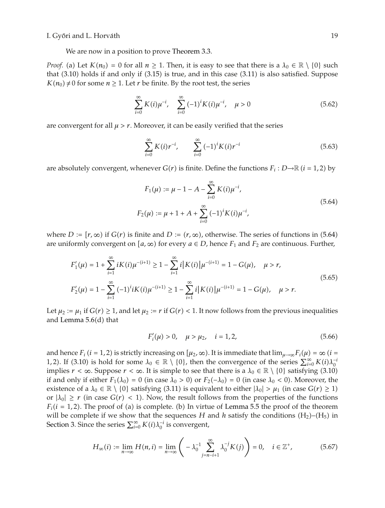We are now in a position to prove Theorem 3.3.

*Proof.* (a) Let  $K(n_0) = 0$  for all  $n \ge 1$ . Then, it is easy to see that there is a  $\lambda_0 \in \mathbb{R} \setminus \{0\}$  such that  $(3.10)$  holds if and only if  $(3.15)$  is true, and in this case  $(3.11)$  is also satisfied. Suppose  $K(n_0) \neq 0$  for some  $n \geq 1$ . Let *r* be finite. By the root test, the series

$$
\sum_{i=0}^{\infty} K(i) \mu^{-i}, \quad \sum_{i=0}^{\infty} (-1)^i K(i) \mu^{-i}, \quad \mu > 0
$$
\n(5.62)

are convergent for all  $\mu > r$ . Moreover, it can be easily verified that the series

$$
\sum_{i=0}^{\infty} K(i)r^{-i}, \qquad \sum_{i=0}^{\infty} (-1)^i K(i)r^{-i}
$$
 (5.63)

are absolutely convergent, whenever  $G(r)$  is finite. Define the functions  $F_i : D \rightarrow \mathbb{R}$   $(i = 1, 2)$  by

$$
F_1(\mu) := \mu - 1 - A - \sum_{i=0}^{\infty} K(i) \mu^{-i},
$$
  
\n
$$
F_2(\mu) := \mu + 1 + A + \sum_{i=0}^{\infty} (-1)^i K(i) \mu^{-i},
$$
\n(5.64)

where *D* :=  $[r, \infty)$  if  $G(r)$  is finite and *D* :=  $(r, \infty)$ , otherwise. The series of functions in (5.64) are uniformly convergent on  $[a, \infty)$  for every  $a \in D$ , hence  $F_1$  and  $F_2$  are continuous. Further,

$$
F'_{1}(\mu) = 1 + \sum_{i=1}^{\infty} iK(i)\mu^{-(i+1)} \ge 1 - \sum_{i=1}^{\infty} i|K(i)|\mu^{-(i+1)} = 1 - G(\mu), \quad \mu > r,
$$
  
\n
$$
F'_{2}(\mu) = 1 - \sum_{i=1}^{\infty} (-1)^{i}iK(i)\mu^{-(i+1)} \ge 1 - \sum_{i=1}^{\infty} i|K(i)|\mu^{-(i+1)} = 1 - G(\mu), \quad \mu > r.
$$
\n(5.65)

Let  $\mu_2 := \mu_1$  if  $G(r) \geq 1$ , and let  $\mu_2 := r$  if  $G(r) < 1$ . It now follows from the previous inequalities and Lemma  $5.6(d)$  that

$$
F'_{i}(\mu) > 0, \quad \mu > \mu_{2}, \quad i = 1, 2,
$$
\n<sup>(5.66)</sup>

and hence  $F_i$  ( $i = 1, 2$ ) is strictly increasing on  $[\mu_2, \infty)$ . It is immediate that  $\lim_{\mu \to \infty} F_i(\mu) = \infty$  ( $i =$ 1, 2). If (3.10) is hold for some  $\lambda_0 \in \mathbb{R} \setminus \{0\}$ , then the convergence of the series  $\sum_{i=0}^{\infty} K(i) \lambda_0^{-i}$ implies  $r < \infty$ . Suppose  $r < \infty$ . It is simple to see that there is a  $\lambda_0 \in \mathbb{R} \setminus \{0\}$  satisfying (3.10) if and only if either  $F_1(\lambda_0) = 0$  (in case  $\lambda_0 > 0$ ) or  $F_2(-\lambda_0) = 0$  (in case  $\lambda_0 < 0$ ). Moreover, the existence of a  $\lambda_0 \in \mathbb{R} \setminus \{0\}$  satisfying (3.11) is equivalent to either  $|\lambda_0| > \mu_1$  (in case  $G(r) \ge 1$ ) or  $|\lambda_0| \ge r$  (in case  $G(r) < 1$ ). Now, the result follows from the properties of the functions  $F_i(i = 1, 2)$ . The proof of (a) is complete. (b) In virtue of Lemma 5.5 the proof of the theorem will be complete if we show that the sequences *H* and *h* satisfy the conditions  $(H_2)$ – $(H_5)$  in Section 3. Since the series  $\sum_{i=0}^{\infty} K(i) \lambda_0^{-i}$  is convergent,

$$
H_{\infty}(i) := \lim_{n \to \infty} H(n, i) = \lim_{n \to \infty} \left( -\lambda_0^{-1} \sum_{j=n-i+1}^{\infty} \lambda_0^{-j} K(j) \right) = 0, \quad i \in \mathbb{Z}^+, \tag{5.67}
$$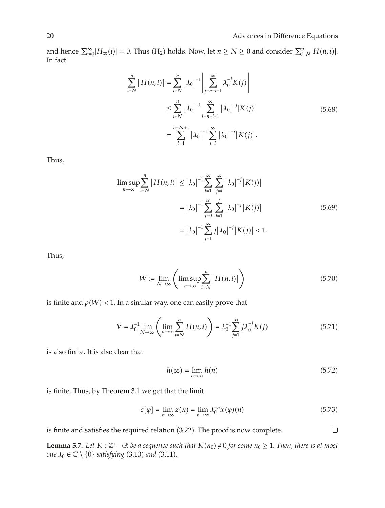and hence  $\sum_{i=0}^{\infty} |H_{\infty}(i)| = 0$ . Thus (H<sub>2</sub>) holds. Now, let  $n \ge N \ge 0$  and consider  $\sum_{i=N}^{n} |H(n, i)|$ . In fact

$$
\sum_{i=N}^{n} |H(n,i)| = \sum_{i=N}^{n} |\lambda_0|^{-1} \left| \sum_{j=n-i+1}^{\infty} \lambda_0^{-j} K(j) \right|
$$
  

$$
\leq \sum_{i=N}^{n} |\lambda_0|^{-1} \sum_{j=n-i+1}^{\infty} |\lambda_0|^{-j} |K(j)|
$$
  

$$
= \sum_{l=1}^{n-N+1} |\lambda_0|^{-1} \sum_{j=l}^{\infty} |\lambda_0|^{-j} |K(j)|.
$$
 (5.68)

Thus,

$$
\limsup_{n \to \infty} \sum_{i=N}^{n} |H(n,i)| \leq |\lambda_0|^{-1} \sum_{l=1}^{\infty} \sum_{j=l}^{\infty} |\lambda_0|^{-j} |K(j)|
$$
  

$$
= |\lambda_0|^{-1} \sum_{j=0}^{\infty} \sum_{l=1}^{j} |\lambda_0|^{-j} |K(j)|
$$
  

$$
= |\lambda_0|^{-1} \sum_{j=1}^{\infty} j |\lambda_0|^{-j} |K(j)| < 1.
$$
 (5.69)

Thus,

$$
W := \lim_{N \to \infty} \left( \limsup_{n \to \infty} \sum_{i=N}^{n} |H(n,i)| \right) \tag{5.70}
$$

is finite and  $\rho(W)$  < 1. In a similar way, one can easily prove that

$$
V = \lambda_0^{-1} \lim_{N \to \infty} \left( \lim_{n \to \infty} \sum_{i=N}^{n} H(n, i) \right) = \lambda_0^{-1} \sum_{j=1}^{\infty} j \lambda_0^{-j} K(j)
$$
 (5.71)

is also finite. It is also clear that

$$
h(\infty) = \lim_{n \to \infty} h(n) \tag{5.72}
$$

 $\Box$ 

is finite. Thus, by Theorem 3.1 we get that the limit

$$
c[\varphi] = \lim_{n \to \infty} z(n) = \lim_{n \to \infty} \lambda_0^{-n} x(\varphi)(n)
$$
 (5.73)

is finite and satisfies the required relation (3.22). The proof is now complete.

**Lemma 5.7.** *Let*  $K : \mathbb{Z}^* \to \mathbb{R}$  *be a sequence such that*  $K(n_0) \neq 0$  *for some*  $n_0 \geq 1$ *. Then, there is at most one*  $\lambda_0 \in \mathbb{C} \setminus \{0\}$  *satisfying* (3.10) *and* (3.11).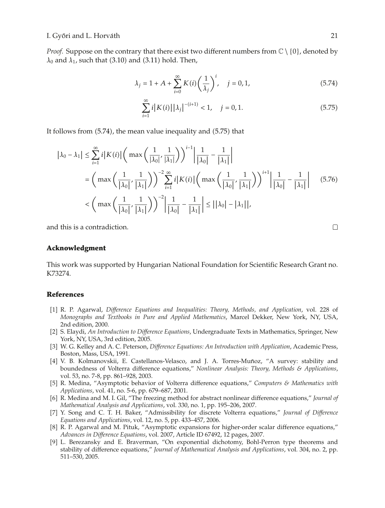*Proof.* Suppose on the contrary that there exist two different numbers from  $\mathbb{C} \setminus \{0\}$ , denoted by  $\lambda_0$  and  $\lambda_1$ , such that (3.10) and (3.11) hold. Then,

$$
\lambda_j = 1 + A + \sum_{i=0}^{\infty} K(i) \left(\frac{1}{\lambda_j}\right)^i, \quad j = 0, 1,
$$
\n(5.74)

$$
\sum_{i=1}^{\infty} i |K(i)| |\lambda_j|^{-(i+1)} < 1, \quad j = 0, 1.
$$
 (5.75)

It follows from  $(5.74)$ , the mean value inequality and  $(5.75)$  that

$$
|\lambda_0 - \lambda_1| \le \sum_{i=1}^{\infty} i |K(i)| \left( \max\left(\frac{1}{|\lambda_0|}, \frac{1}{|\lambda_1|}\right) \right)^{i-1} \left| \frac{1}{|\lambda_0|} - \frac{1}{|\lambda_1|} \right|
$$
  
\n
$$
= \left( \max\left(\frac{1}{|\lambda_0|}, \frac{1}{|\lambda_1|}\right) \right)^{-2} \sum_{i=1}^{\infty} i |K(i)| \left( \max\left(\frac{1}{|\lambda_0|}, \frac{1}{|\lambda_1|}\right) \right)^{i+1} \left| \frac{1}{|\lambda_0|} - \frac{1}{|\lambda_1|} \right| \tag{5.76}
$$
  
\n
$$
< \left( \max\left(\frac{1}{|\lambda_0|}, \frac{1}{|\lambda_1|}\right) \right)^{-2} \left| \frac{1}{|\lambda_0|} - \frac{1}{|\lambda_1|} \right| \le ||\lambda_0| - |\lambda_1||,
$$

and this is a contradiction.

## **Acknowledgment**

This work was supported by Hungarian National Foundation for Scientific Research Grant no. K73274.

# **References**

- 1 R. P. Agarwal, *Difference Equations and Inequalities: Theory, Methods, and Application*, vol. 228 of *Monographs and Textbooks in Pure and Applied Mathematics*, Marcel Dekker, New York, NY, USA, 2nd edition, 2000.
- 2 S. Elaydi, *An Introduction to Difference Equations*, Undergraduate Texts in Mathematics, Springer, New York, NY, USA, 3rd edition, 2005.
- 3 W. G. Kelley and A. C. Peterson, *Difference Equations: An Introduction with Application*, Academic Press, Boston, Mass, USA, 1991.
- [4] V. B. Kolmanovskii, E. Castellanos-Velasco, and J. A. Torres-Muñoz, "A survey: stability and boundedness of Volterra difference equations," *Nonlinear Analysis: Theory, Methods & Applications*, vol. 53, no. 7-8, pp. 861–928, 2003.
- 5 R. Medina, "Asymptotic behavior of Volterra difference equations," *Computers & Mathematics with Applications*, vol. 41, no. 5-6, pp. 679–687, 2001.
- 6 R. Medina and M. I. Gil, "The freezing method for abstract nonlinear difference equations," *Journal of Mathematical Analysis and Applications*, vol. 330, no. 1, pp. 195–206, 2007.
- 7 Y. Song and C. T. H. Baker, "Admissibility for discrete Volterra equations," *Journal of Difference Equations and Applications*, vol. 12, no. 5, pp. 433–457, 2006.
- [8] R. P. Agarwal and M. Pituk, "Asymptotic expansions for higher-order scalar difference equations," *Advances in Difference Equations*, vol. 2007, Article ID 67492, 12 pages, 2007.
- 9 L. Berezansky and E. Braverman, "On exponential dichotomy, Bohl-Perron type theorems and stability of difference equations," *Journal of Mathematical Analysis and Applications*, vol. 304, no. 2, pp. 511–530, 2005.

 $\Box$